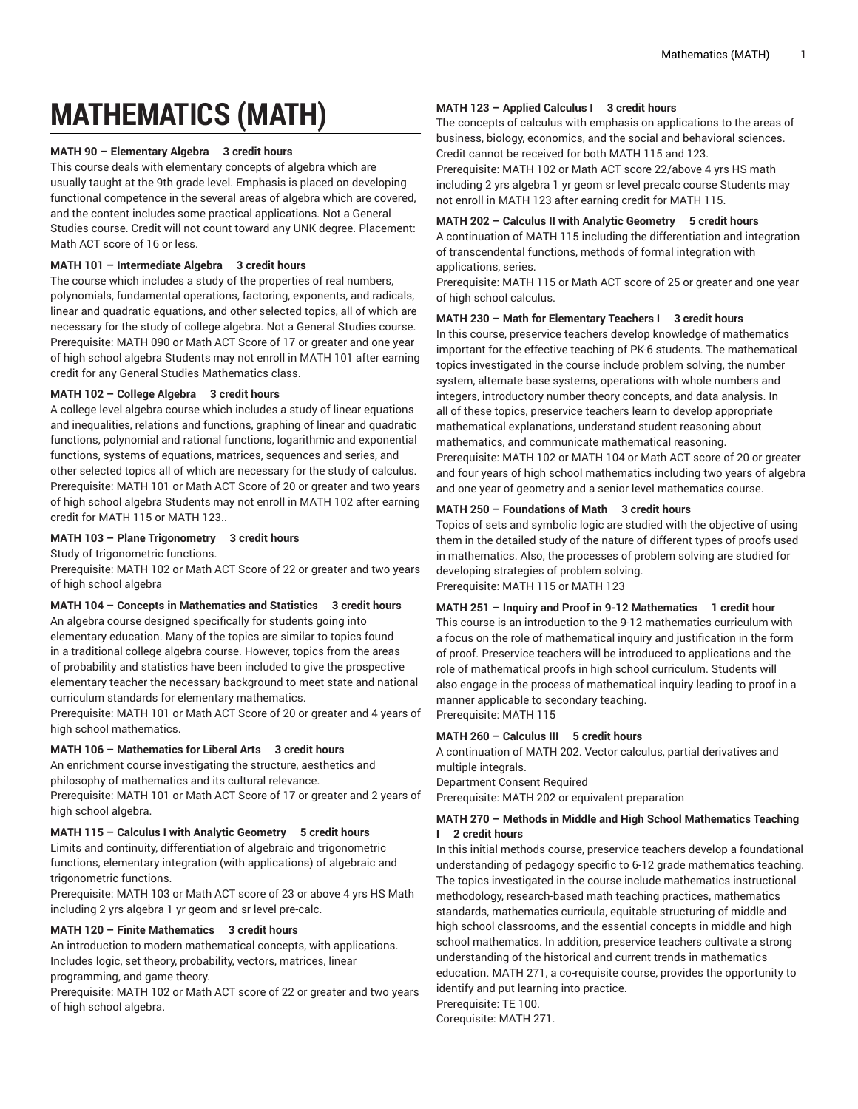# **MATHEMATICS (MATH)**

## **MATH 90 – Elementary Algebra 3 credit hours**

This course deals with elementary concepts of algebra which are usually taught at the 9th grade level. Emphasis is placed on developing functional competence in the several areas of algebra which are covered, and the content includes some practical applications. Not a General Studies course. Credit will not count toward any UNK degree. Placement: Math ACT score of 16 or less.

## **MATH 101 – Intermediate Algebra 3 credit hours**

The course which includes a study of the properties of real numbers, polynomials, fundamental operations, factoring, exponents, and radicals, linear and quadratic equations, and other selected topics, all of which are necessary for the study of college algebra. Not a General Studies course. Prerequisite: MATH 090 or Math ACT Score of 17 or greater and one year of high school algebra Students may not enroll in MATH 101 after earning credit for any General Studies Mathematics class.

## **MATH 102 – College Algebra 3 credit hours**

A college level algebra course which includes a study of linear equations and inequalities, relations and functions, graphing of linear and quadratic functions, polynomial and rational functions, logarithmic and exponential functions, systems of equations, matrices, sequences and series, and other selected topics all of which are necessary for the study of calculus. Prerequisite: MATH 101 or Math ACT Score of 20 or greater and two years of high school algebra Students may not enroll in MATH 102 after earning credit for MATH 115 or MATH 123..

## **MATH 103 – Plane Trigonometry 3 credit hours**

Study of trigonometric functions.

Prerequisite: MATH 102 or Math ACT Score of 22 or greater and two years of high school algebra

# **MATH 104 – Concepts in Mathematics and Statistics 3 credit hours**

An algebra course designed specifically for students going into elementary education. Many of the topics are similar to topics found in a traditional college algebra course. However, topics from the areas of probability and statistics have been included to give the prospective elementary teacher the necessary background to meet state and national curriculum standards for elementary mathematics.

Prerequisite: MATH 101 or Math ACT Score of 20 or greater and 4 years of high school mathematics.

# **MATH 106 – Mathematics for Liberal Arts 3 credit hours**

An enrichment course investigating the structure, aesthetics and philosophy of mathematics and its cultural relevance.

Prerequisite: MATH 101 or Math ACT Score of 17 or greater and 2 years of high school algebra.

# **MATH 115 – Calculus I with Analytic Geometry 5 credit hours**

Limits and continuity, differentiation of algebraic and trigonometric functions, elementary integration (with applications) of algebraic and trigonometric functions.

Prerequisite: MATH 103 or Math ACT score of 23 or above 4 yrs HS Math including 2 yrs algebra 1 yr geom and sr level pre-calc.

## **MATH 120 – Finite Mathematics 3 credit hours**

An introduction to modern mathematical concepts, with applications. Includes logic, set theory, probability, vectors, matrices, linear programming, and game theory.

Prerequisite: MATH 102 or Math ACT score of 22 or greater and two years of high school algebra.

## **MATH 123 – Applied Calculus I 3 credit hours**

The concepts of calculus with emphasis on applications to the areas of business, biology, economics, and the social and behavioral sciences. Credit cannot be received for both MATH 115 and 123.

Prerequisite: MATH 102 or Math ACT score 22/above 4 yrs HS math including 2 yrs algebra 1 yr geom sr level precalc course Students may not enroll in MATH 123 after earning credit for MATH 115.

## **MATH 202 – Calculus II with Analytic Geometry 5 credit hours**

A continuation of MATH 115 including the differentiation and integration of transcendental functions, methods of formal integration with applications, series.

Prerequisite: MATH 115 or Math ACT score of 25 or greater and one year of high school calculus.

## **MATH 230 – Math for Elementary Teachers I 3 credit hours**

In this course, preservice teachers develop knowledge of mathematics important for the effective teaching of PK-6 students. The mathematical topics investigated in the course include problem solving, the number system, alternate base systems, operations with whole numbers and integers, introductory number theory concepts, and data analysis. In all of these topics, preservice teachers learn to develop appropriate mathematical explanations, understand student reasoning about mathematics, and communicate mathematical reasoning.

Prerequisite: MATH 102 or MATH 104 or Math ACT score of 20 or greater and four years of high school mathematics including two years of algebra and one year of geometry and a senior level mathematics course.

## **MATH 250 – Foundations of Math 3 credit hours**

Topics of sets and symbolic logic are studied with the objective of using them in the detailed study of the nature of different types of proofs used in mathematics. Also, the processes of problem solving are studied for developing strategies of problem solving. Prerequisite: MATH 115 or MATH 123

## **MATH 251 – Inquiry and Proof in 9-12 Mathematics 1 credit hour**

This course is an introduction to the 9-12 mathematics curriculum with a focus on the role of mathematical inquiry and justification in the form of proof. Preservice teachers will be introduced to applications and the role of mathematical proofs in high school curriculum. Students will also engage in the process of mathematical inquiry leading to proof in a manner applicable to secondary teaching. Prerequisite: MATH 115

## **MATH 260 – Calculus III 5 credit hours**

A continuation of MATH 202. Vector calculus, partial derivatives and multiple integrals.

Department Consent Required Prerequisite: MATH 202 or equivalent preparation

## **MATH 270 – Methods in Middle and High School Mathematics Teaching I 2 credit hours**

In this initial methods course, preservice teachers develop a foundational understanding of pedagogy specific to 6-12 grade mathematics teaching. The topics investigated in the course include mathematics instructional methodology, research-based math teaching practices, mathematics standards, mathematics curricula, equitable structuring of middle and high school classrooms, and the essential concepts in middle and high school mathematics. In addition, preservice teachers cultivate a strong understanding of the historical and current trends in mathematics education. MATH 271, a co-requisite course, provides the opportunity to identify and put learning into practice.

Prerequisite: TE 100. Corequisite: MATH 271.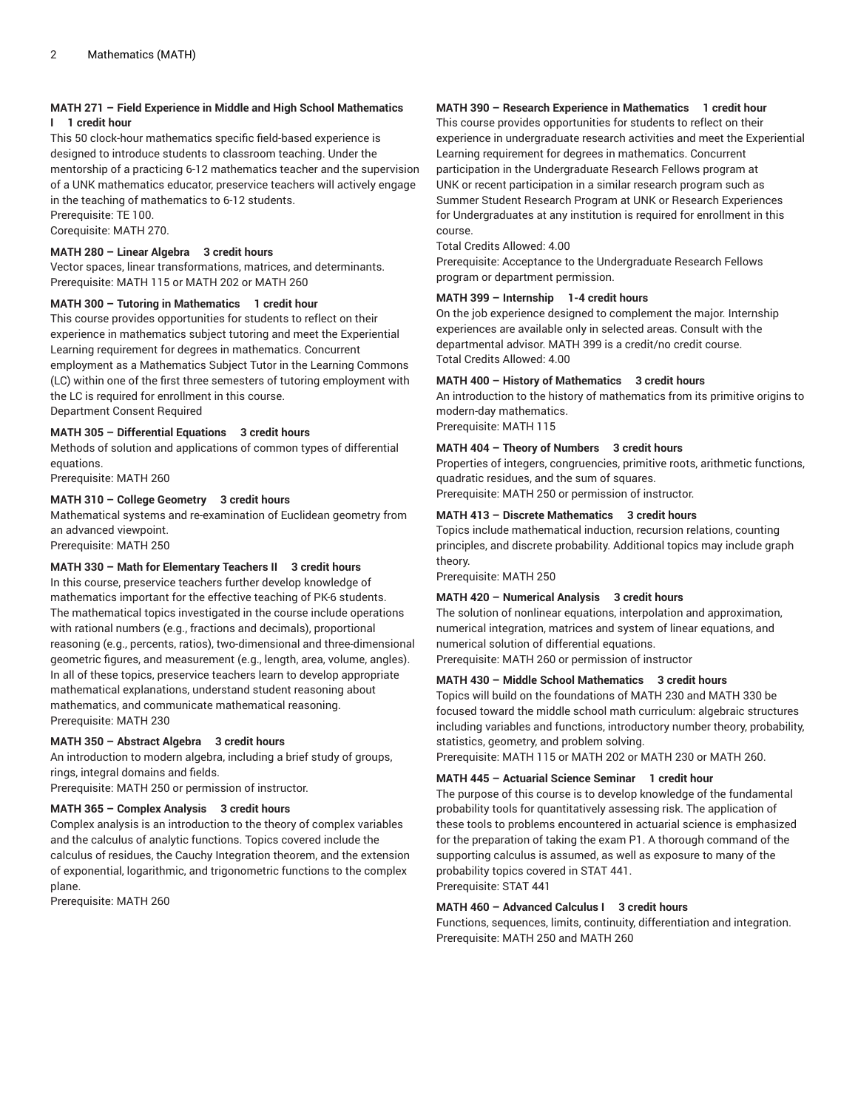## **MATH 271 – Field Experience in Middle and High School Mathematics I 1 credit hour**

This 50 clock-hour mathematics specific field-based experience is designed to introduce students to classroom teaching. Under the mentorship of a practicing 6-12 mathematics teacher and the supervision of a UNK mathematics educator, preservice teachers will actively engage in the teaching of mathematics to 6-12 students.

Prerequisite: TE 100.

## Corequisite: MATH 270.

## **MATH 280 – Linear Algebra 3 credit hours**

Vector spaces, linear transformations, matrices, and determinants. Prerequisite: MATH 115 or MATH 202 or MATH 260

## **MATH 300 – Tutoring in Mathematics 1 credit hour**

This course provides opportunities for students to reflect on their experience in mathematics subject tutoring and meet the Experiential Learning requirement for degrees in mathematics. Concurrent employment as a Mathematics Subject Tutor in the Learning Commons (LC) within one of the first three semesters of tutoring employment with the LC is required for enrollment in this course. Department Consent Required

## **MATH 305 – Differential Equations 3 credit hours**

Methods of solution and applications of common types of differential equations.

Prerequisite: MATH 260

# **MATH 310 – College Geometry 3 credit hours**

Mathematical systems and re-examination of Euclidean geometry from an advanced viewpoint. Prerequisite: MATH 250

## **MATH 330 – Math for Elementary Teachers II 3 credit hours**

In this course, preservice teachers further develop knowledge of mathematics important for the effective teaching of PK-6 students. The mathematical topics investigated in the course include operations with rational numbers (e.g., fractions and decimals), proportional reasoning (e.g., percents, ratios), two-dimensional and three-dimensional geometric figures, and measurement (e.g., length, area, volume, angles). In all of these topics, preservice teachers learn to develop appropriate mathematical explanations, understand student reasoning about mathematics, and communicate mathematical reasoning. Prerequisite: MATH 230

#### **MATH 350 – Abstract Algebra 3 credit hours**

An introduction to modern algebra, including a brief study of groups, rings, integral domains and fields.

Prerequisite: MATH 250 or permission of instructor.

## **MATH 365 – Complex Analysis 3 credit hours**

Complex analysis is an introduction to the theory of complex variables and the calculus of analytic functions. Topics covered include the calculus of residues, the Cauchy Integration theorem, and the extension of exponential, logarithmic, and trigonometric functions to the complex plane.

Prerequisite: MATH 260

# **MATH 390 – Research Experience in Mathematics 1 credit hour**

This course provides opportunities for students to reflect on their experience in undergraduate research activities and meet the Experiential Learning requirement for degrees in mathematics. Concurrent participation in the Undergraduate Research Fellows program at UNK or recent participation in a similar research program such as Summer Student Research Program at UNK or Research Experiences for Undergraduates at any institution is required for enrollment in this course.

Total Credits Allowed: 4.00

Prerequisite: Acceptance to the Undergraduate Research Fellows program or department permission.

## **MATH 399 – Internship 1-4 credit hours**

On the job experience designed to complement the major. Internship experiences are available only in selected areas. Consult with the departmental advisor. MATH 399 is a credit/no credit course. Total Credits Allowed: 4.00

#### **MATH 400 – History of Mathematics 3 credit hours**

An introduction to the history of mathematics from its primitive origins to modern-day mathematics. Prerequisite: MATH 115

#### **MATH 404 – Theory of Numbers 3 credit hours**

Properties of integers, congruencies, primitive roots, arithmetic functions, quadratic residues, and the sum of squares. Prerequisite: MATH 250 or permission of instructor.

## **MATH 413 – Discrete Mathematics 3 credit hours**

Topics include mathematical induction, recursion relations, counting principles, and discrete probability. Additional topics may include graph theory.

Prerequisite: MATH 250

## **MATH 420 – Numerical Analysis 3 credit hours**

The solution of nonlinear equations, interpolation and approximation, numerical integration, matrices and system of linear equations, and numerical solution of differential equations. Prerequisite: MATH 260 or permission of instructor

#### **MATH 430 – Middle School Mathematics 3 credit hours**

Topics will build on the foundations of MATH 230 and MATH 330 be focused toward the middle school math curriculum: algebraic structures including variables and functions, introductory number theory, probability, statistics, geometry, and problem solving.

Prerequisite: MATH 115 or MATH 202 or MATH 230 or MATH 260.

# **MATH 445 – Actuarial Science Seminar 1 credit hour**

The purpose of this course is to develop knowledge of the fundamental probability tools for quantitatively assessing risk. The application of these tools to problems encountered in actuarial science is emphasized for the preparation of taking the exam P1. A thorough command of the supporting calculus is assumed, as well as exposure to many of the probability topics covered in STAT 441. Prerequisite: STAT 441

#### **MATH 460 – Advanced Calculus I 3 credit hours**

Functions, sequences, limits, continuity, differentiation and integration. Prerequisite: MATH 250 and MATH 260